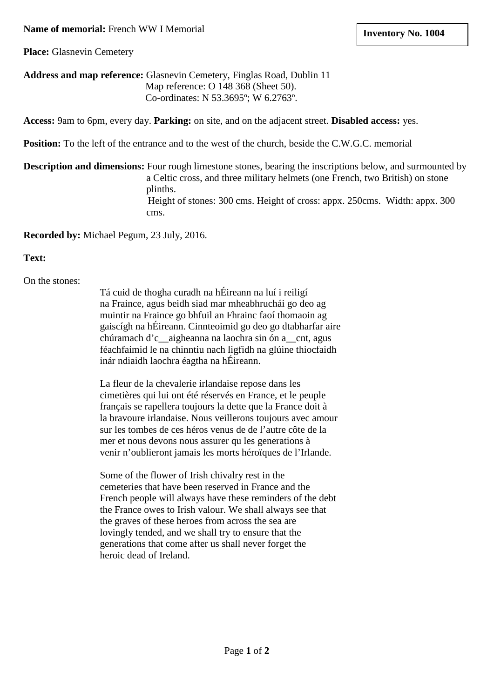### **Name of memorial:** French WW I Memorial

**Place:** Glasnevin Cemetery

## **Address and map reference:** Glasnevin Cemetery, Finglas Road, Dublin 11 Map reference: O 148 368 (Sheet 50). Co-ordinates: N 53.3695º; W 6.2763º.

**Access:** 9am to 6pm, every day. **Parking:** on site, and on the adjacent street. **Disabled access:** yes.

**Position:** To the left of the entrance and to the west of the church, beside the C.W.G.C. memorial

**Description and dimensions:** Four rough limestone stones, bearing the inscriptions below, and surmounted by a Celtic cross, and three military helmets (one French, two British) on stone plinths. Height of stones: 300 cms. Height of cross: appx. 250cms. Width: appx. 300 cms.

**Recorded by:** Michael Pegum, 23 July, 2016.

#### **Text:**

On the stones:

Tá cuid de thogha curadh na hÉireann na luí i reiligí na Fraince, agus beidh siad mar mheabhruchái go deo ag muintir na Fraince go bhfuil an Fhrainc faoí thomaoin ag gaiscígh na hÉireann. Cinnteoimid go deo go dtabharfar aire chúramach d'c\_\_aigheanna na laochra sin ón a\_\_cnt, agus féachfaimid le na chinntiu nach ligfidh na glúine thiocfaidh inár ndiaidh laochra éagtha na hÉireann.

La fleur de la chevalerie irlandaise repose dans les cimetières qui lui ont été réservés en France, et le peuple français se rapellera toujours la dette que la France doit à la bravoure irlandaise. Nous veillerons toujours avec amour sur les tombes de ces héros venus de de l'autre côte de la mer et nous devons nous assurer qu les generations à venir n'oublieront jamais les morts héroïques de l'Irlande.

Some of the flower of Irish chivalry rest in the cemeteries that have been reserved in France and the French people will always have these reminders of the debt the France owes to Irish valour. We shall always see that the graves of these heroes from across the sea are lovingly tended, and we shall try to ensure that the generations that come after us shall never forget the heroic dead of Ireland.